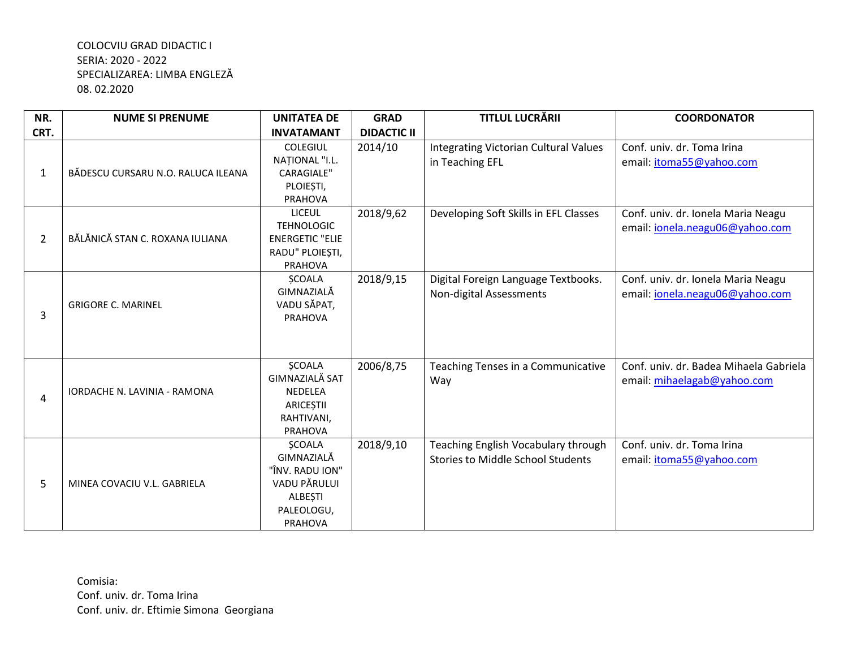| NR.            | <b>NUME SI PRENUME</b>             | <b>UNITATEA DE</b>                                                                                        | <b>GRAD</b>        | <b>TITLUL LUCRĂRII</b>                                                          | <b>COORDONATOR</b>                                                    |
|----------------|------------------------------------|-----------------------------------------------------------------------------------------------------------|--------------------|---------------------------------------------------------------------------------|-----------------------------------------------------------------------|
| CRT.           |                                    | <b>INVATAMANT</b>                                                                                         | <b>DIDACTIC II</b> |                                                                                 |                                                                       |
| $\mathbf{1}$   | BĂDESCU CURSARU N.O. RALUCA ILEANA | <b>COLEGIUL</b><br>NAȚIONAL "I.L.<br><b>CARAGIALE"</b><br>PLOIEȘTI,<br>PRAHOVA                            | 2014/10            | Integrating Victorian Cultural Values<br>in Teaching EFL                        | Conf. univ. dr. Toma Irina<br>email: itoma55@yahoo.com                |
| $\overline{2}$ | BĂLĂNICĂ STAN C. ROXANA IULIANA    | LICEUL<br><b>TEHNOLOGIC</b><br><b>ENERGETIC "ELIE</b><br>RADU" PLOIEȘTI,<br>PRAHOVA                       | 2018/9,62          | Developing Soft Skills in EFL Classes                                           | Conf. univ. dr. Ionela Maria Neagu<br>email: ionela.neagu06@yahoo.com |
| 3              | <b>GRIGORE C. MARINEL</b>          | <b>ŞCOALA</b><br>GIMNAZIALĂ<br>VADU SĂPAT,<br><b>PRAHOVA</b>                                              | 2018/9,15          | Digital Foreign Language Textbooks.<br>Non-digital Assessments                  | Conf. univ. dr. Ionela Maria Neagu<br>email: ionela.neagu06@yahoo.com |
| 4              | IORDACHE N. LAVINIA - RAMONA       | <b>ŞCOALA</b><br><b>GIMNAZIALĂ SAT</b><br><b>NEDELEA</b><br>ARICEȘTII<br>RAHTIVANI,<br>PRAHOVA            | 2006/8,75          | Teaching Tenses in a Communicative<br>Way                                       | Conf. univ. dr. Badea Mihaela Gabriela<br>email: mihaelagab@yahoo.com |
| 5              | MINEA COVACIU V.L. GABRIELA        | <b>ŞCOALA</b><br>GIMNAZIALĂ<br>"ÎNV. RADU ION"<br>VADU PĂRULUI<br><b>ALBEȘTI</b><br>PALEOLOGU,<br>PRAHOVA | 2018/9,10          | Teaching English Vocabulary through<br><b>Stories to Middle School Students</b> | Conf. univ. dr. Toma Irina<br>email: itoma55@yahoo.com                |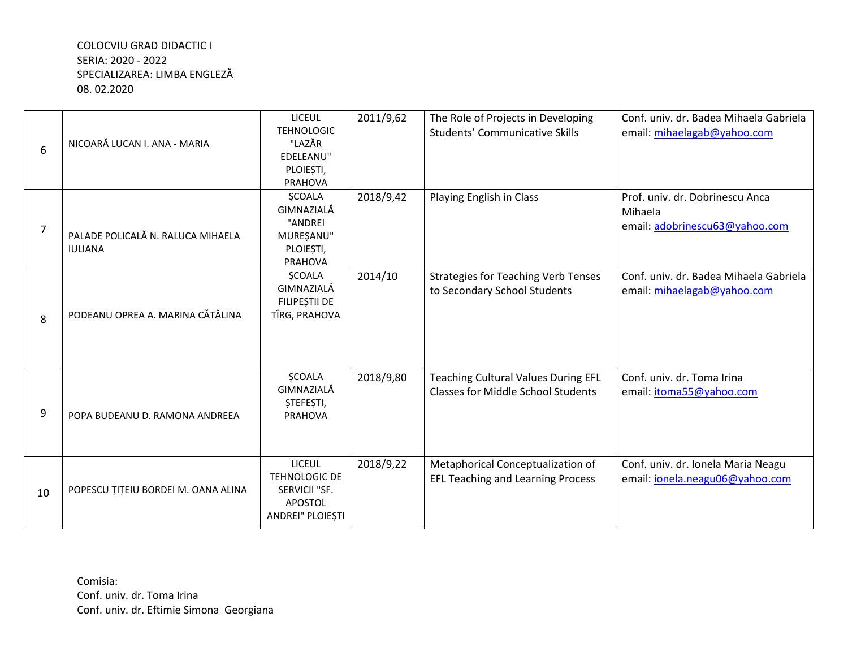| 6              | NICOARĂ LUCAN I. ANA - MARIA                        | <b>LICEUL</b><br><b>TEHNOLOGIC</b><br>"LAZĂR<br>EDELEANU"<br>PLOIEȘTI,<br>PRAHOVA | 2011/9,62 | The Role of Projects in Developing<br><b>Students' Communicative Skills</b>             | Conf. univ. dr. Badea Mihaela Gabriela<br>email: mihaelagab@yahoo.com        |
|----------------|-----------------------------------------------------|-----------------------------------------------------------------------------------|-----------|-----------------------------------------------------------------------------------------|------------------------------------------------------------------------------|
| $\overline{7}$ | PALADE POLICALĂ N. RALUCA MIHAELA<br><b>IULIANA</b> | <b>ŞCOALA</b><br>GIMNAZIALĂ<br>"ANDREI<br>MUREȘANU"<br>PLOIEȘTI,<br>PRAHOVA       | 2018/9,42 | Playing English in Class                                                                | Prof. univ. dr. Dobrinescu Anca<br>Mihaela<br>email: adobrinescu63@yahoo.com |
| 8              | PODEANU OPREA A. MARINA CĂTĂLINA                    | <b>ŞCOALA</b><br>GIMNAZIALĂ<br>FILIPEȘTII DE<br>TÎRG, PRAHOVA                     | 2014/10   | <b>Strategies for Teaching Verb Tenses</b><br>to Secondary School Students              | Conf. univ. dr. Badea Mihaela Gabriela<br>email: mihaelagab@yahoo.com        |
| 9              | POPA BUDEANU D. RAMONA ANDREEA                      | <b>ŞCOALA</b><br>GIMNAZIALĂ<br>ȘTEFEȘTI,<br><b>PRAHOVA</b>                        | 2018/9,80 | <b>Teaching Cultural Values During EFL</b><br><b>Classes for Middle School Students</b> | Conf. univ. dr. Toma Irina<br>email: itoma55@yahoo.com                       |
| 10             | POPESCU ȚIȚEIU BORDEI M. OANA ALINA                 | <b>LICEUL</b><br>TEHNOLOGIC DE<br>SERVICII "SF.<br>APOSTOL<br>ANDREI" PLOIEȘTI    | 2018/9,22 | Metaphorical Conceptualization of<br><b>EFL Teaching and Learning Process</b>           | Conf. univ. dr. Ionela Maria Neagu<br>email: ionela.neagu06@yahoo.com        |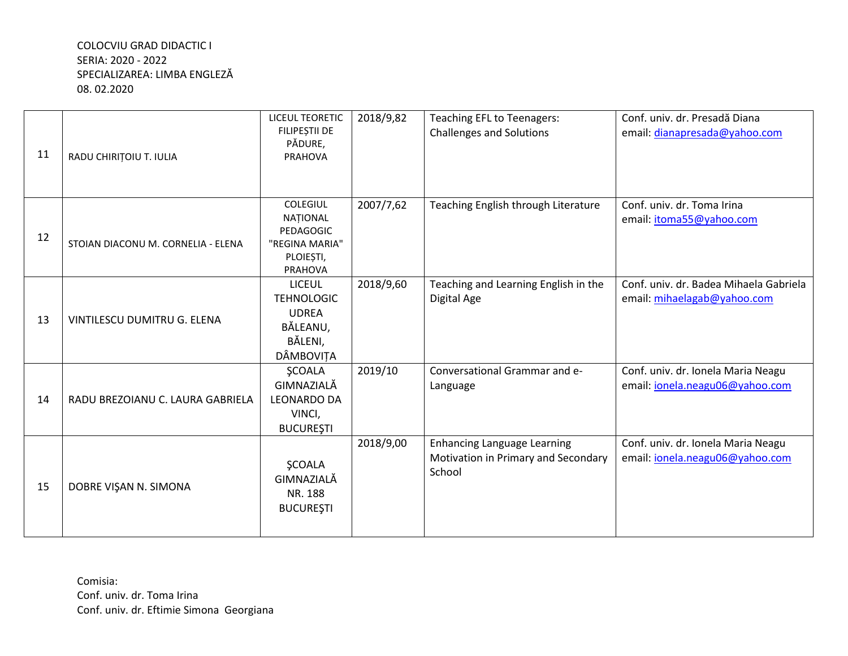| 11 | RADU CHIRIȚOIU T. IULIA            | <b>LICEUL TEORETIC</b><br>FILIPEȘTII DE<br>PĂDURE,<br><b>PRAHOVA</b>                          | 2018/9,82 | Teaching EFL to Teenagers:<br><b>Challenges and Solutions</b>                       | Conf. univ. dr. Presadă Diana<br>email: dianapresada@yahoo.com        |
|----|------------------------------------|-----------------------------------------------------------------------------------------------|-----------|-------------------------------------------------------------------------------------|-----------------------------------------------------------------------|
| 12 | STOIAN DIACONU M. CORNELIA - ELENA | <b>COLEGIUL</b><br>NAȚIONAL<br>PEDAGOGIC<br>"REGINA MARIA"<br>PLOIEȘTI,<br><b>PRAHOVA</b>     | 2007/7,62 | Teaching English through Literature                                                 | Conf. univ. dr. Toma Irina<br>email: itoma55@yahoo.com                |
| 13 | VINTILESCU DUMITRU G. ELENA        | <b>LICEUL</b><br><b>TEHNOLOGIC</b><br><b>UDREA</b><br>BĂLEANU,<br>BĂLENI,<br><b>DÂMBOVITA</b> | 2018/9,60 | Teaching and Learning English in the<br>Digital Age                                 | Conf. univ. dr. Badea Mihaela Gabriela<br>email: mihaelagab@yahoo.com |
| 14 | RADU BREZOIANU C. LAURA GABRIELA   | <b>ŞCOALA</b><br>GIMNAZIALĂ<br><b>LEONARDO DA</b><br>VINCI,<br><b>BUCUREȘTI</b>               | 2019/10   | Conversational Grammar and e-<br>Language                                           | Conf. univ. dr. Ionela Maria Neagu<br>email: jonela.neagu06@yahoo.com |
| 15 | DOBRE VIŞAN N. SIMONA              | <b>ŞCOALA</b><br>GIMNAZIALĂ<br>NR. 188<br><b>BUCUREȘTI</b>                                    | 2018/9,00 | <b>Enhancing Language Learning</b><br>Motivation in Primary and Secondary<br>School | Conf. univ. dr. Ionela Maria Neagu<br>email: jonela.neagu06@yahoo.com |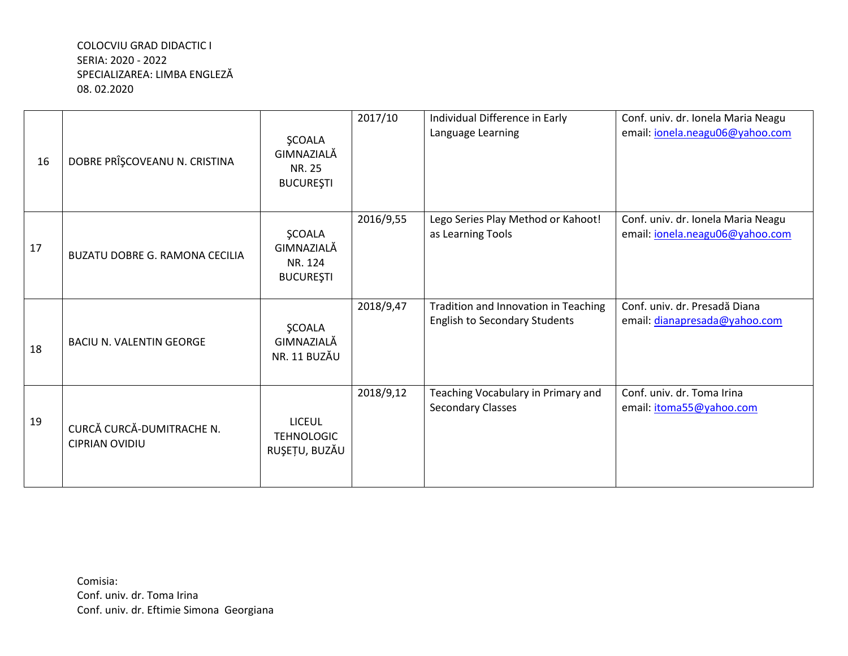| 16 | DOBRE PRÎȘCOVEANU N. CRISTINA                      | <b>ŞCOALA</b><br>GIMNAZIALĂ<br><b>NR. 25</b><br><b>BUCUREȘTI</b> | 2017/10   | Individual Difference in Early<br>Language Learning                          | Conf. univ. dr. Ionela Maria Neagu<br>email: jonela.neagu06@yahoo.com |
|----|----------------------------------------------------|------------------------------------------------------------------|-----------|------------------------------------------------------------------------------|-----------------------------------------------------------------------|
| 17 | <b>BUZATU DOBRE G. RAMONA CECILIA</b>              | <b>ŞCOALA</b><br>GIMNAZIALĂ<br>NR. 124<br><b>BUCUREȘTI</b>       | 2016/9,55 | Lego Series Play Method or Kahoot!<br>as Learning Tools                      | Conf. univ. dr. Ionela Maria Neagu<br>email: jonela.neagu06@yahoo.com |
| 18 | <b>BACIU N. VALENTIN GEORGE</b>                    | <b>ŞCOALA</b><br>GIMNAZIALĂ<br>NR. 11 BUZĂU                      | 2018/9,47 | Tradition and Innovation in Teaching<br><b>English to Secondary Students</b> | Conf. univ. dr. Presadă Diana<br>email: dianapresada@yahoo.com        |
| 19 | CURCĂ CURCĂ-DUMITRACHE N.<br><b>CIPRIAN OVIDIU</b> | <b>LICEUL</b><br><b>TEHNOLOGIC</b><br>RUȘEȚU, BUZĂU              | 2018/9,12 | Teaching Vocabulary in Primary and<br><b>Secondary Classes</b>               | Conf. univ. dr. Toma Irina<br>email: itoma55@yahoo.com                |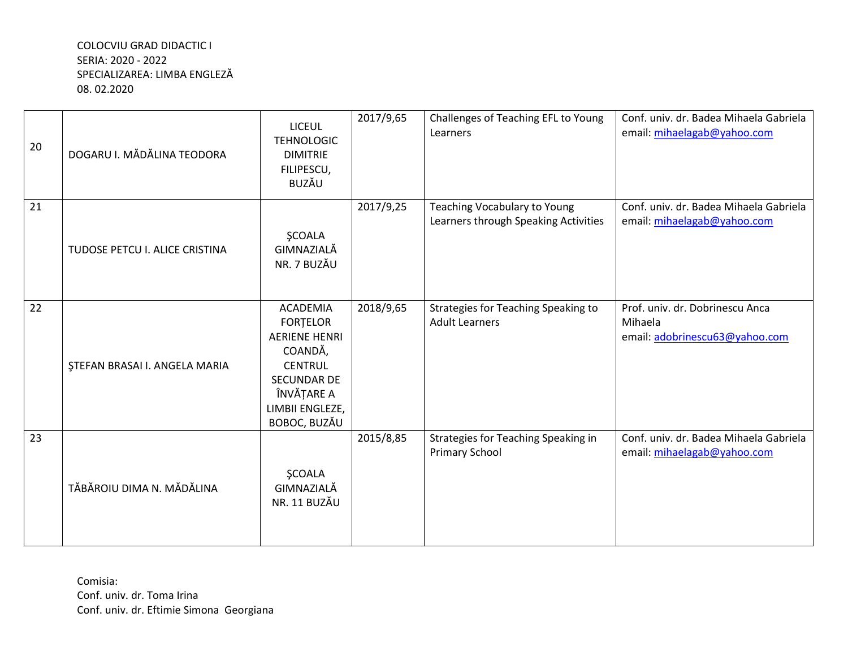| 20 | DOGARU I. MĂDĂLINA TEODORA           | <b>LICEUL</b><br><b>TEHNOLOGIC</b><br><b>DIMITRIE</b><br>FILIPESCU,<br><b>BUZĂU</b>                                                                            | 2017/9,65 | Challenges of Teaching EFL to Young<br>Learners                      | Conf. univ. dr. Badea Mihaela Gabriela<br>email: mihaelagab@yahoo.com        |
|----|--------------------------------------|----------------------------------------------------------------------------------------------------------------------------------------------------------------|-----------|----------------------------------------------------------------------|------------------------------------------------------------------------------|
| 21 | TUDOSE PETCU I. ALICE CRISTINA       | <b>ŞCOALA</b><br>GIMNAZIALĂ<br>NR. 7 BUZĂU                                                                                                                     | 2017/9,25 | Teaching Vocabulary to Young<br>Learners through Speaking Activities | Conf. univ. dr. Badea Mihaela Gabriela<br>email: mihaelagab@yahoo.com        |
| 22 | <b>STEFAN BRASAI I. ANGELA MARIA</b> | <b>ACADEMIA</b><br><b>FORTELOR</b><br><b>AERIENE HENRI</b><br>COANDĂ,<br><b>CENTRUL</b><br><b>SECUNDAR DE</b><br>ÎNVĂȚARE A<br>LIMBII ENGLEZE,<br>BOBOC, BUZĂU | 2018/9,65 | Strategies for Teaching Speaking to<br><b>Adult Learners</b>         | Prof. univ. dr. Dobrinescu Anca<br>Mihaela<br>email: adobrinescu63@yahoo.com |
| 23 | TĂBĂROIU DIMA N. MĂDĂLINA            | <b>ŞCOALA</b><br>GIMNAZIALĂ<br>NR. 11 BUZĂU                                                                                                                    | 2015/8,85 | Strategies for Teaching Speaking in<br><b>Primary School</b>         | Conf. univ. dr. Badea Mihaela Gabriela<br>email: mihaelagab@yahoo.com        |